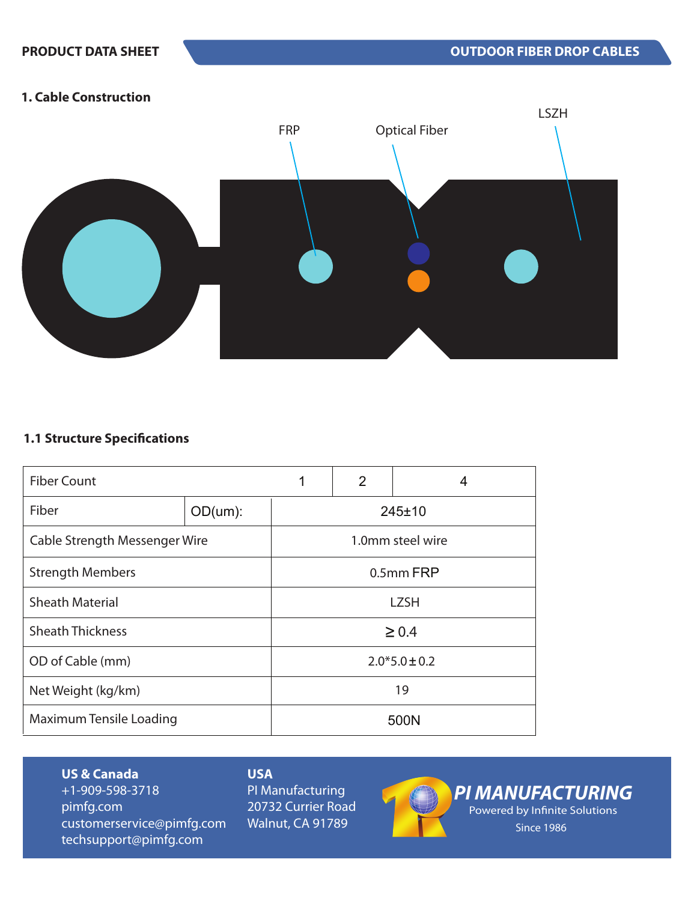### **1. Cable Construction**



# **1.1 Structure Specifications**

| <b>Fiber Count</b>      |                               | 2<br>1<br>4       |                  |  |
|-------------------------|-------------------------------|-------------------|------------------|--|
| Fiber                   | OD(num):                      | 245±10            |                  |  |
|                         | Cable Strength Messenger Wire |                   | 1.0mm steel wire |  |
| <b>Strength Members</b> |                               | 0.5mm FRP         |                  |  |
| <b>Sheath Material</b>  |                               | <b>LZSH</b>       |                  |  |
| <b>Sheath Thickness</b> |                               | $\geq 0.4$        |                  |  |
| OD of Cable (mm)        |                               | $2.0*5.0 \pm 0.2$ |                  |  |
| Net Weight (kg/km)      |                               | 19                |                  |  |
| Maximum Tensile Loading |                               | 500N              |                  |  |

**US & Canada** +1-909-598-3718 pimfg.com customerservice@pimfg.com techsupport@pimfg.com

# **USA**

PI Manufacturing 20732 Currier Road Walnut, CA 91789



*PI MANUFACTURING* Powered by Infinite Solutions Since 1986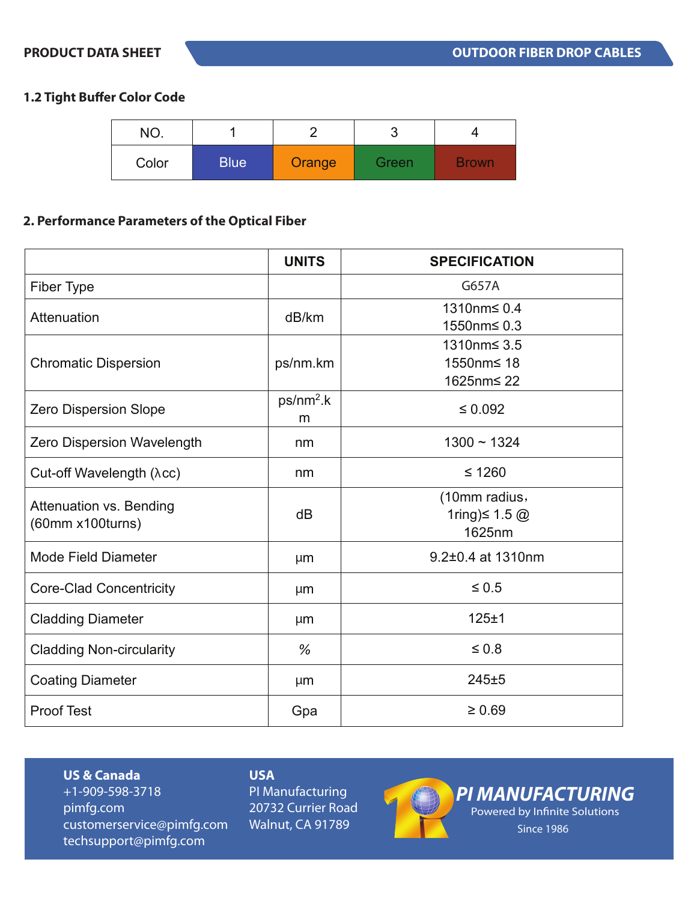# **1.2 Tight Buffer Color Code**

| NO.   |             |        | ບ     |              |
|-------|-------------|--------|-------|--------------|
| Color | <b>Blue</b> | Orange | Green | <b>Brown</b> |

# **2. Performance Parameters of the Optical Fiber**

|                                                    | <b>UNITS</b>     | <b>SPECIFICATION</b>                           |
|----------------------------------------------------|------------------|------------------------------------------------|
| Fiber Type                                         |                  | G657A                                          |
| Attenuation                                        | dB/km            | 1310nm≤ 0.4<br>1550nm≤ 0.3                     |
| <b>Chromatic Dispersion</b>                        | ps/nm.km         | 1310nm≤ 3.5<br>1550nm≤ 18<br>1625nm≤ 22        |
| <b>Zero Dispersion Slope</b>                       | $ps/nm2$ .k<br>m | $\leq 0.092$                                   |
| Zero Dispersion Wavelength                         | nm               | $1300 - 1324$                                  |
| Cut-off Wavelength (λcc)                           | nm               | $≤ 1260$                                       |
| <b>Attenuation vs. Bending</b><br>(60mm x100turns) | dB               | (10mm radius,<br>1ring) $\leq 1.5$ @<br>1625nm |
| <b>Mode Field Diameter</b>                         | µm               | 9.2±0.4 at 1310nm                              |
| <b>Core-Clad Concentricity</b>                     | µm               | $\leq 0.5$                                     |
| <b>Cladding Diameter</b>                           | µm               | 125±1                                          |
| <b>Cladding Non-circularity</b>                    | %                | $\leq 0.8$                                     |
| <b>Coating Diameter</b>                            | µm               | 245±5                                          |
| <b>Proof Test</b>                                  | Gpa              | $\geq 0.69$                                    |

#### **US & Canada**

+1-909-598-3718 pimfg.com customerservice@pimfg.com techsupport@pimfg.com

### **USA**

PI Manufacturing 20732 Currier Road Walnut, CA 91789



*PI MANUFACTURING* Powered by Infinite Solutions Since 1986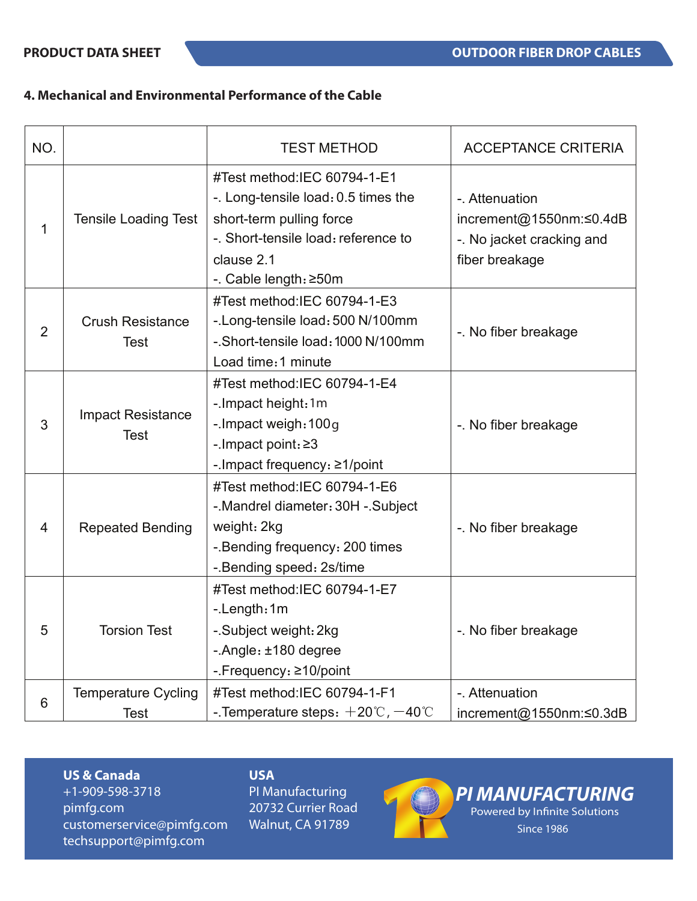# **4. Mechanical and Environmental Performance of the Cable**

| NO.            |                                           | <b>TEST METHOD</b>                                                                                                                                                           | <b>ACCEPTANCE CRITERIA</b>                                                               |
|----------------|-------------------------------------------|------------------------------------------------------------------------------------------------------------------------------------------------------------------------------|------------------------------------------------------------------------------------------|
| 1              | <b>Tensile Loading Test</b>               | #Test method:IEC 60794-1-E1<br>-. Long-tensile load: 0.5 times the<br>short-term pulling force<br>-. Short-tensile load: reference to<br>clause 2.1<br>-. Cable length: ≥50m | -. Attenuation<br>increment@1550nm:≤0.4dB<br>-. No jacket cracking and<br>fiber breakage |
| $\overline{2}$ | <b>Crush Resistance</b><br><b>Test</b>    | #Test method:IEC 60794-1-E3<br>-. Long-tensile load: 500 N/100mm<br>-. Short-tensile load: 1000 N/100mm<br>Load time: 1 minute                                               | -. No fiber breakage                                                                     |
| 3              | <b>Impact Resistance</b><br><b>Test</b>   | #Test method:IEC 60794-1-E4<br>-. Impact height: 1m<br>-. Impact weigh: 100q<br>-. Impact point: ≥3<br>-. Impact frequency: $\geq 1$ /point                                  | -. No fiber breakage                                                                     |
| $\overline{4}$ | <b>Repeated Bending</b>                   | #Test method:IEC 60794-1-E6<br>-. Mandrel diameter: 30H -. Subject<br>weight: 2kg<br>-. Bending frequency: 200 times<br>-. Bending speed: 2s/time                            | -. No fiber breakage                                                                     |
| 5              | <b>Torsion Test</b>                       | #Test method:IEC 60794-1-E7<br>-.Length:1m<br>-. Subject weight: 2kg<br>-. Angle: ±180 degree<br>-.Frequency: ≥10/point                                                      | -. No fiber breakage                                                                     |
| 6              | <b>Temperature Cycling</b><br><b>Test</b> | #Test method:IEC 60794-1-F1<br>-. Temperature steps: $+20^{\circ}$ C, $-40^{\circ}$ C                                                                                        | - Attenuation<br>increment@1550nm:≤0.3dB                                                 |

#### **US & Canada**

+1-909-598-3718 pimfg.com customerservice@pimfg.com techsupport@pimfg.com

# **USA**

PI Manufacturing 20732 Currier Road Walnut, CA 91789



*PI MANUFACTURING* Powered by Infinite Solutions

Since 1986